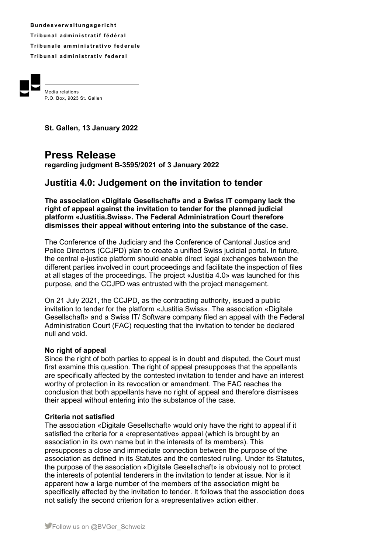**B u n d e s v e rw a l t u ng s g e r i ch t Tr i b u n a l ad m i ni s t r a t i f f éd é r a l Tribunale amministrativo federale Tribunal administrativ federal** 



Media relations P.O. Box, 9023 St. Gallen

**St. Gallen, 13 January 2022** 

# **Press Release**

**regarding judgment B-3595/2021 of 3 January 2022** 

## **Justitia 4.0: Judgement on the invitation to tender**

**The association «Digitale Gesellschaft» and a Swiss IT company lack the right of appeal against the invitation to tender for the planned judicial platform «Justitia.Swiss». The Federal Administration Court therefore dismisses their appeal without entering into the substance of the case.** 

The Conference of the Judiciary and the Conference of Cantonal Justice and Police Directors (CCJPD) plan to create a unified Swiss judicial portal. In future, the central e-justice platform should enable direct legal exchanges between the different parties involved in court proceedings and facilitate the inspection of files at all stages of the proceedings. The project «Justitia 4.0» was launched for this purpose, and the CCJPD was entrusted with the project management.

On 21 July 2021, the CCJPD, as the contracting authority, issued a public invitation to tender for the platform «Justitia.Swiss». The association «Digitale Gesellschaft» and a Swiss IT/ Software company filed an appeal with the Federal Administration Court (FAC) requesting that the invitation to tender be declared null and void.

### **No right of appeal**

Since the right of both parties to appeal is in doubt and disputed, the Court must first examine this question. The right of appeal presupposes that the appellants are specifically affected by the contested invitation to tender and have an interest worthy of protection in its revocation or amendment. The FAC reaches the conclusion that both appellants have no right of appeal and therefore dismisses their appeal without entering into the substance of the case.

### **Criteria not satisfied**

The association «Digitale Gesellschaft» would only have the right to appeal if it satisfied the criteria for a «representative» appeal (which is brought by an association in its own name but in the interests of its members). This presupposes a close and immediate connection between the purpose of the association as defined in its Statutes and the contested ruling. Under its Statutes, the purpose of the association «Digitale Gesellschaft» is obviously not to protect the interests of potential tenderers in the invitation to tender at issue. Nor is it apparent how a large number of the members of the association might be specifically affected by the invitation to tender. It follows that the association does not satisfy the second criterion for a «representative» action either.